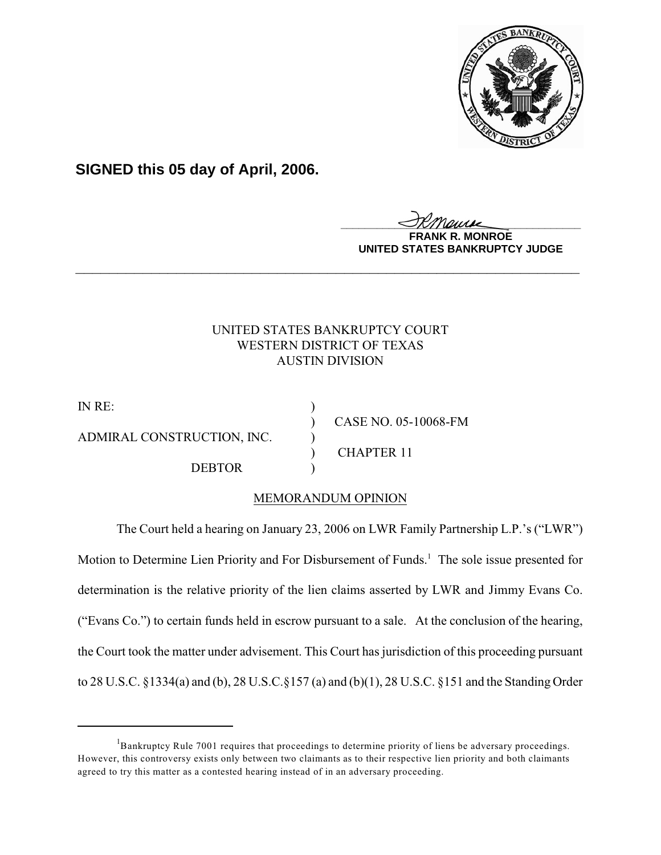

**SIGNED this 05 day of April, 2006.**

<u>IKThemse</u>

**MONROE UNITED STATES BANKRUPTCY JUDGE**

## UNITED STATES BANKRUPTCY COURT WESTERN DISTRICT OF TEXAS AUSTIN DIVISION

**\_\_\_\_\_\_\_\_\_\_\_\_\_\_\_\_\_\_\_\_\_\_\_\_\_\_\_\_\_\_\_\_\_\_\_\_\_\_\_\_\_\_\_\_\_\_\_\_\_\_\_\_\_\_\_\_\_\_\_\_**

IN RE: ADMIRAL CONSTRUCTION, INC. ) DEBTOR )

) CASE NO. 05-10068-FM ) CHAPTER 11

# MEMORANDUM OPINION

The Court held a hearing on January 23, 2006 on LWR Family Partnership L.P.'s ("LWR") Motion to Determine Lien Priority and For Disbursement of Funds.<sup>1</sup> The sole issue presented for determination is the relative priority of the lien claims asserted by LWR and Jimmy Evans Co. ("Evans Co.") to certain funds held in escrow pursuant to a sale. At the conclusion of the hearing, the Court took the matter under advisement. This Court has jurisdiction of this proceeding pursuant to 28 U.S.C. §1334(a) and (b), 28 U.S.C.§157 (a) and (b)(1), 28 U.S.C. §151 and the Standing Order

 ${}^{1}$ Bankruptcy Rule 7001 requires that proceedings to determine priority of liens be adversary proceedings. However, this controversy exists only between two claimants as to their respective lien priority and both claimants agreed to try this matter as a contested hearing instead of in an adversary proceeding.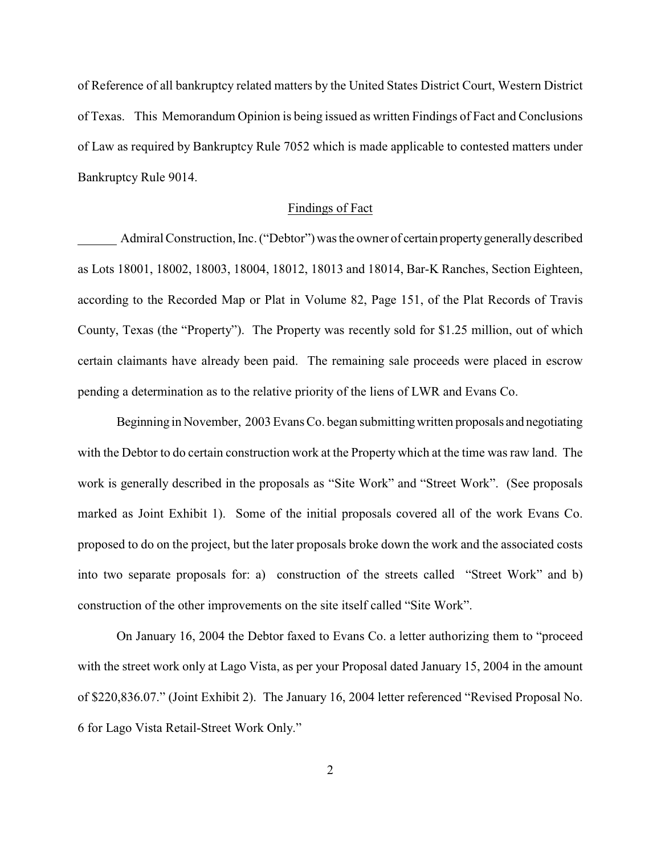of Reference of all bankruptcy related matters by the United States District Court, Western District of Texas. This Memorandum Opinion is being issued as written Findings of Fact and Conclusions of Law as required by Bankruptcy Rule 7052 which is made applicable to contested matters under Bankruptcy Rule 9014.

#### Findings of Fact

 Admiral Construction, Inc. ("Debtor") was the owner of certain property generally described as Lots 18001, 18002, 18003, 18004, 18012, 18013 and 18014, Bar-K Ranches, Section Eighteen, according to the Recorded Map or Plat in Volume 82, Page 151, of the Plat Records of Travis County, Texas (the "Property"). The Property was recently sold for \$1.25 million, out of which certain claimants have already been paid. The remaining sale proceeds were placed in escrow pending a determination as to the relative priority of the liens of LWR and Evans Co.

Beginning in November, 2003 Evans Co. began submitting written proposals and negotiating with the Debtor to do certain construction work at the Property which at the time was raw land. The work is generally described in the proposals as "Site Work" and "Street Work". (See proposals marked as Joint Exhibit 1). Some of the initial proposals covered all of the work Evans Co. proposed to do on the project, but the later proposals broke down the work and the associated costs into two separate proposals for: a) construction of the streets called "Street Work" and b) construction of the other improvements on the site itself called "Site Work".

On January 16, 2004 the Debtor faxed to Evans Co. a letter authorizing them to "proceed with the street work only at Lago Vista, as per your Proposal dated January 15, 2004 in the amount of \$220,836.07." (Joint Exhibit 2). The January 16, 2004 letter referenced "Revised Proposal No. 6 for Lago Vista Retail-Street Work Only."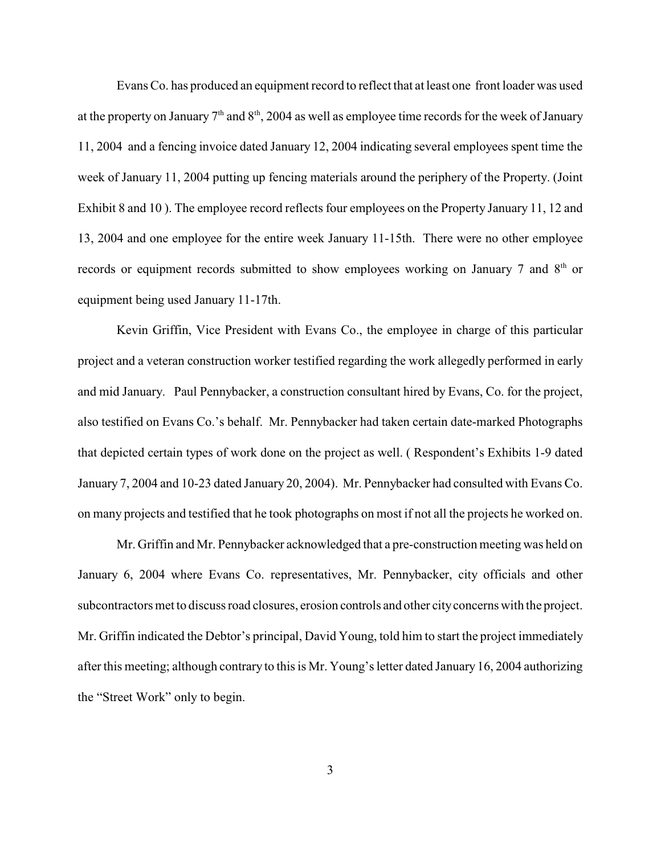Evans Co. has produced an equipment record to reflect that at least one front loader was used at the property on January  $7^{\rm th}$  and  $8^{\rm th}, 2004$  as well as employee time records for the week of January 11, 2004 and a fencing invoice dated January 12, 2004 indicating several employees spent time the week of January 11, 2004 putting up fencing materials around the periphery of the Property. (Joint Exhibit 8 and 10 ). The employee record reflects four employees on the Property January 11, 12 and 13, 2004 and one employee for the entire week January 11-15th. There were no other employee records or equipment records submitted to show employees working on January 7 and  $8<sup>th</sup>$  or equipment being used January 11-17th.

Kevin Griffin, Vice President with Evans Co., the employee in charge of this particular project and a veteran construction worker testified regarding the work allegedly performed in early and mid January. Paul Pennybacker, a construction consultant hired by Evans, Co. for the project, also testified on Evans Co.'s behalf. Mr. Pennybacker had taken certain date-marked Photographs that depicted certain types of work done on the project as well. ( Respondent's Exhibits 1-9 dated January 7, 2004 and 10-23 dated January 20, 2004). Mr. Pennybacker had consulted with Evans Co. on many projects and testified that he took photographs on most if not all the projects he worked on.

Mr. Griffin and Mr. Pennybacker acknowledged that a pre-construction meeting was held on January 6, 2004 where Evans Co. representatives, Mr. Pennybacker, city officials and other subcontractors met to discuss road closures, erosion controls and other city concerns with the project. Mr. Griffin indicated the Debtor's principal, David Young, told him to start the project immediately after this meeting; although contrary to this is Mr. Young's letter dated January 16, 2004 authorizing the "Street Work" only to begin.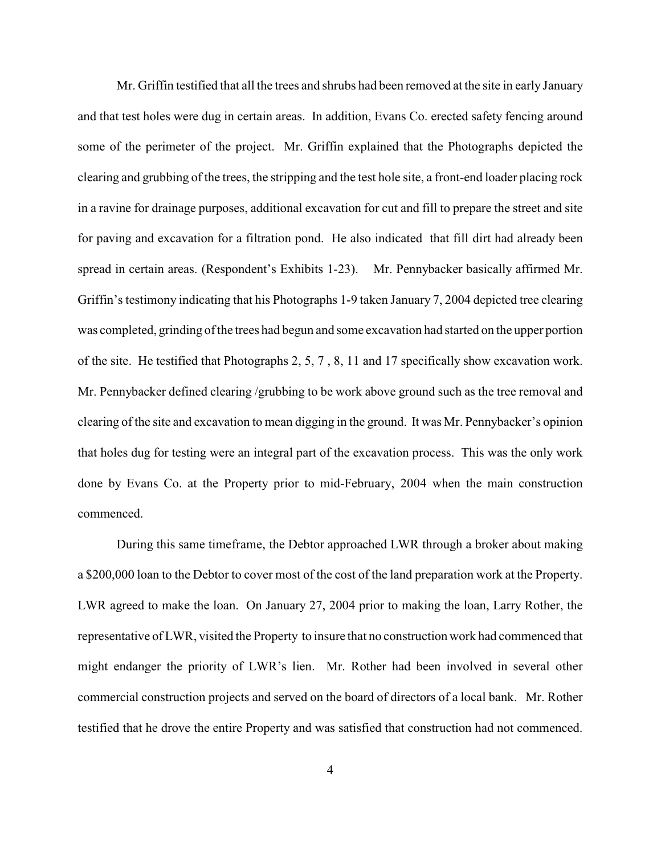Mr. Griffin testified that all the trees and shrubs had been removed at the site in early January and that test holes were dug in certain areas. In addition, Evans Co. erected safety fencing around some of the perimeter of the project. Mr. Griffin explained that the Photographs depicted the clearing and grubbing of the trees, the stripping and the test hole site, a front-end loader placing rock in a ravine for drainage purposes, additional excavation for cut and fill to prepare the street and site for paving and excavation for a filtration pond. He also indicated that fill dirt had already been spread in certain areas. (Respondent's Exhibits 1-23). Mr. Pennybacker basically affirmed Mr. Griffin's testimony indicating that his Photographs 1-9 taken January 7, 2004 depicted tree clearing was completed, grinding of the trees had begun and some excavation had started on the upper portion of the site. He testified that Photographs 2, 5, 7 , 8, 11 and 17 specifically show excavation work. Mr. Pennybacker defined clearing /grubbing to be work above ground such as the tree removal and clearing of the site and excavation to mean digging in the ground. It was Mr. Pennybacker's opinion that holes dug for testing were an integral part of the excavation process. This was the only work done by Evans Co. at the Property prior to mid-February, 2004 when the main construction commenced.

During this same timeframe, the Debtor approached LWR through a broker about making a \$200,000 loan to the Debtor to cover most of the cost of the land preparation work at the Property. LWR agreed to make the loan. On January 27, 2004 prior to making the loan, Larry Rother, the representative of LWR, visited the Property to insure that no construction work had commenced that might endanger the priority of LWR's lien. Mr. Rother had been involved in several other commercial construction projects and served on the board of directors of a local bank. Mr. Rother testified that he drove the entire Property and was satisfied that construction had not commenced.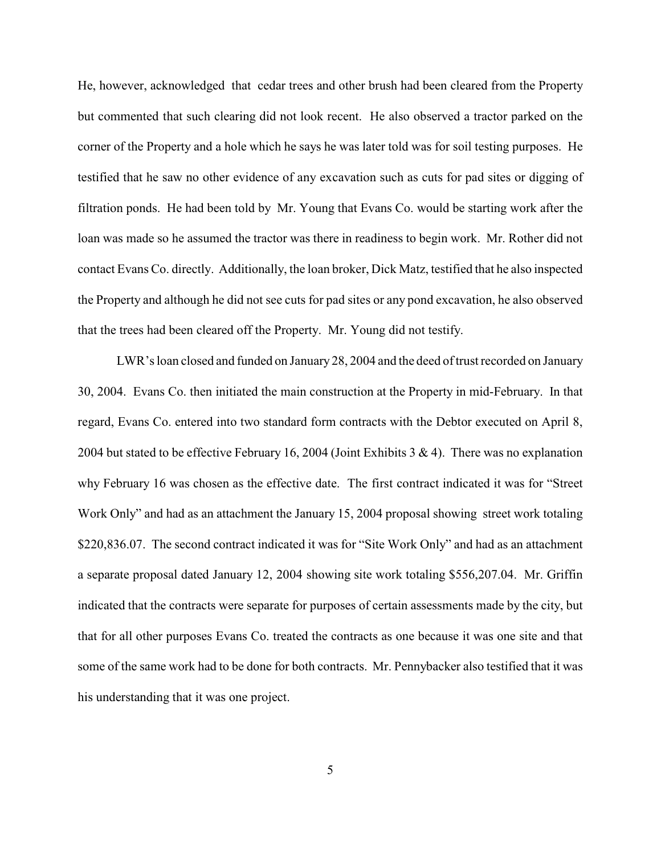He, however, acknowledged that cedar trees and other brush had been cleared from the Property but commented that such clearing did not look recent. He also observed a tractor parked on the corner of the Property and a hole which he says he was later told was for soil testing purposes. He testified that he saw no other evidence of any excavation such as cuts for pad sites or digging of filtration ponds. He had been told by Mr. Young that Evans Co. would be starting work after the loan was made so he assumed the tractor was there in readiness to begin work. Mr. Rother did not contact Evans Co. directly. Additionally, the loan broker, Dick Matz, testified that he also inspected the Property and although he did not see cuts for pad sites or any pond excavation, he also observed that the trees had been cleared off the Property. Mr. Young did not testify.

LWR's loan closed and funded on January 28, 2004 and the deed of trust recorded on January 30, 2004. Evans Co. then initiated the main construction at the Property in mid-February. In that regard, Evans Co. entered into two standard form contracts with the Debtor executed on April 8, 2004 but stated to be effective February 16, 2004 (Joint Exhibits 3 & 4). There was no explanation why February 16 was chosen as the effective date. The first contract indicated it was for "Street Work Only" and had as an attachment the January 15, 2004 proposal showing street work totaling \$220,836.07. The second contract indicated it was for "Site Work Only" and had as an attachment a separate proposal dated January 12, 2004 showing site work totaling \$556,207.04. Mr. Griffin indicated that the contracts were separate for purposes of certain assessments made by the city, but that for all other purposes Evans Co. treated the contracts as one because it was one site and that some of the same work had to be done for both contracts. Mr. Pennybacker also testified that it was his understanding that it was one project.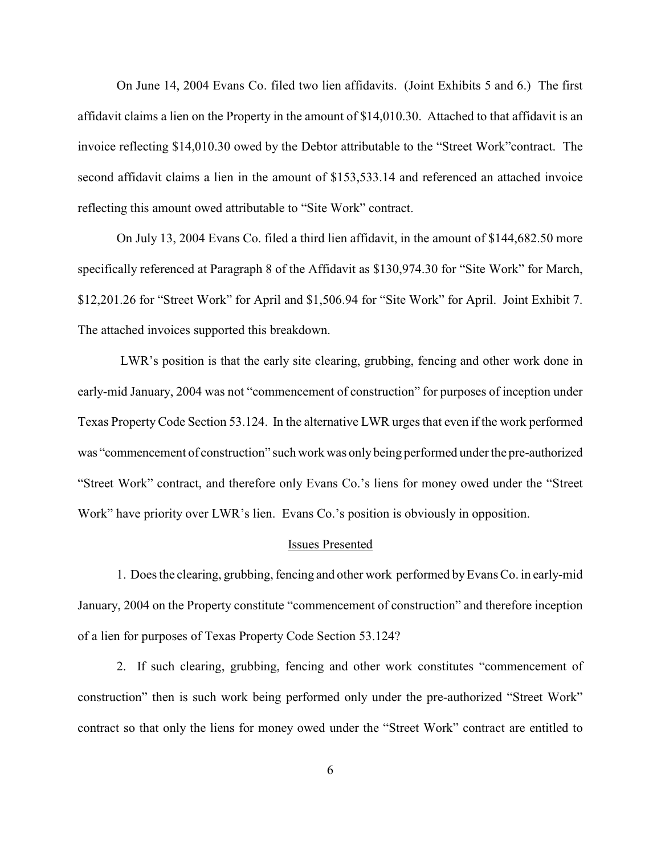On June 14, 2004 Evans Co. filed two lien affidavits. (Joint Exhibits 5 and 6.) The first affidavit claims a lien on the Property in the amount of \$14,010.30. Attached to that affidavit is an invoice reflecting \$14,010.30 owed by the Debtor attributable to the "Street Work"contract. The second affidavit claims a lien in the amount of \$153,533.14 and referenced an attached invoice reflecting this amount owed attributable to "Site Work" contract.

On July 13, 2004 Evans Co. filed a third lien affidavit, in the amount of \$144,682.50 more specifically referenced at Paragraph 8 of the Affidavit as \$130,974.30 for "Site Work" for March, \$12,201.26 for "Street Work" for April and \$1,506.94 for "Site Work" for April. Joint Exhibit 7. The attached invoices supported this breakdown.

 LWR's position is that the early site clearing, grubbing, fencing and other work done in early-mid January, 2004 was not "commencement of construction" for purposes of inception under Texas Property Code Section 53.124. In the alternative LWR urges that even if the work performed was "commencement of construction" such work was only being performed under the pre-authorized "Street Work" contract, and therefore only Evans Co.'s liens for money owed under the "Street Work" have priority over LWR's lien. Evans Co.'s position is obviously in opposition.

#### Issues Presented

1. Does the clearing, grubbing, fencing and other work performed by Evans Co. in early-mid January, 2004 on the Property constitute "commencement of construction" and therefore inception of a lien for purposes of Texas Property Code Section 53.124?

2. If such clearing, grubbing, fencing and other work constitutes "commencement of construction" then is such work being performed only under the pre-authorized "Street Work" contract so that only the liens for money owed under the "Street Work" contract are entitled to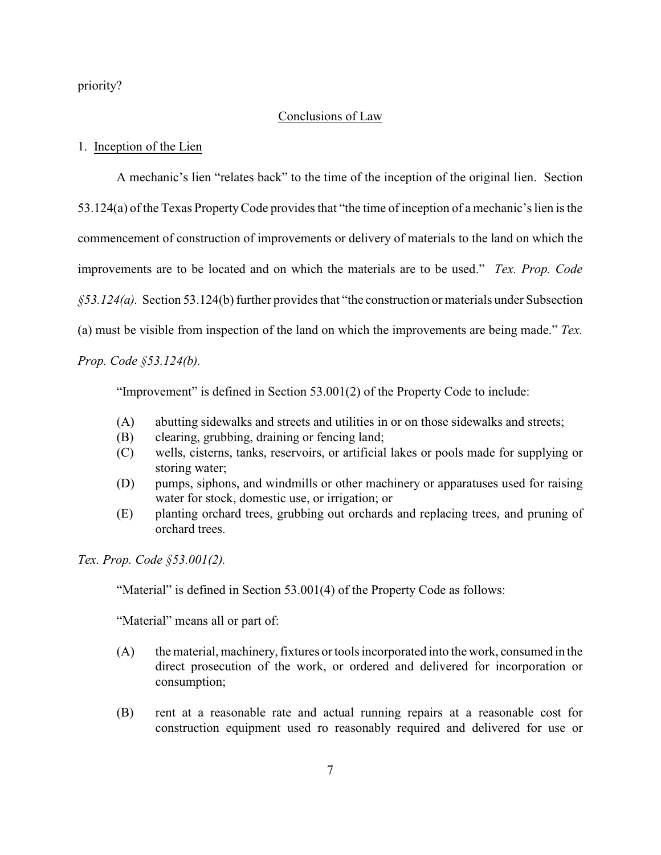priority?

#### Conclusions of Law

#### 1. Inception of the Lien

A mechanic's lien "relates back" to the time of the inception of the original lien. Section 53.124(a) of the Texas Property Code provides that "the time of inception of a mechanic's lien is the commencement of construction of improvements or delivery of materials to the land on which the improvements are to be located and on which the materials are to be used." *Tex. Prop. Code §53.124(a).* Section 53.124(b) further provides that "the construction or materials under Subsection (a) must be visible from inspection of the land on which the improvements are being made." *Tex.*

*Prop. Code §53.124(b).*

"Improvement" is defined in Section 53.001(2) of the Property Code to include:

- (A) abutting sidewalks and streets and utilities in or on those sidewalks and streets;
- (B) clearing, grubbing, draining or fencing land;
- (C) wells, cisterns, tanks, reservoirs, or artificial lakes or pools made for supplying or storing water;
- (D) pumps, siphons, and windmills or other machinery or apparatuses used for raising water for stock, domestic use, or irrigation; or
- (E) planting orchard trees, grubbing out orchards and replacing trees, and pruning of orchard trees.

*Tex. Prop. Code §53.001(2).*

"Material" is defined in Section 53.001(4) of the Property Code as follows:

"Material" means all or part of:

- (A) the material, machinery, fixtures or tools incorporated into the work, consumed in the direct prosecution of the work, or ordered and delivered for incorporation or consumption;
- (B) rent at a reasonable rate and actual running repairs at a reasonable cost for construction equipment used ro reasonably required and delivered for use or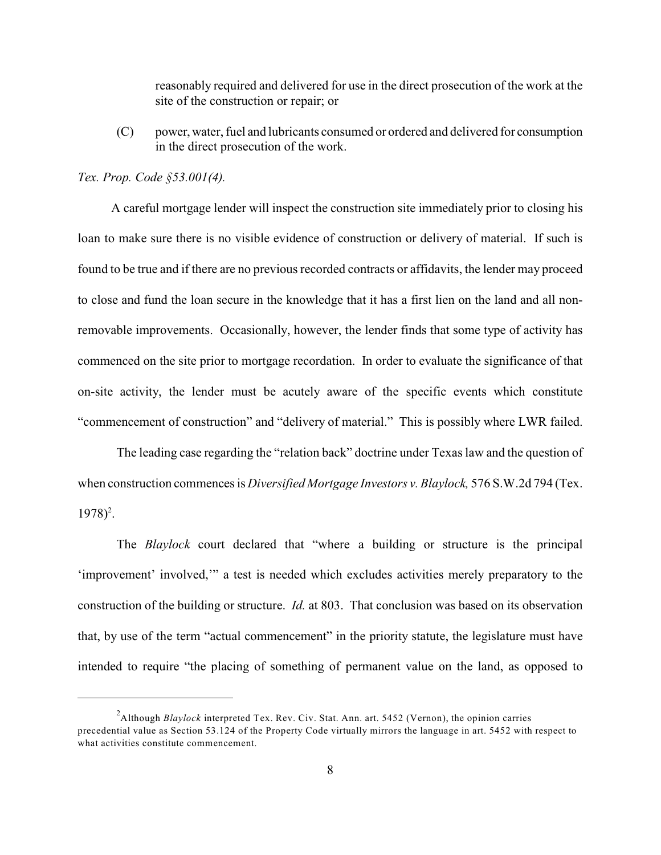reasonably required and delivered for use in the direct prosecution of the work at the site of the construction or repair; or

(C) power, water, fuel and lubricants consumed or ordered and delivered for consumption in the direct prosecution of the work.

#### *Tex. Prop. Code §53.001(4).*

 A careful mortgage lender will inspect the construction site immediately prior to closing his loan to make sure there is no visible evidence of construction or delivery of material. If such is found to be true and if there are no previous recorded contracts or affidavits, the lender may proceed to close and fund the loan secure in the knowledge that it has a first lien on the land and all nonremovable improvements. Occasionally, however, the lender finds that some type of activity has commenced on the site prior to mortgage recordation. In order to evaluate the significance of that on-site activity, the lender must be acutely aware of the specific events which constitute "commencement of construction" and "delivery of material." This is possibly where LWR failed.

The leading case regarding the "relation back" doctrine under Texas law and the question of when construction commences is *Diversified Mortgage Investors v. Blaylock,* 576 S.W.2d 794 (Tex.  $1978$ <sup>2</sup>.

The *Blaylock* court declared that "where a building or structure is the principal 'improvement' involved,'" a test is needed which excludes activities merely preparatory to the construction of the building or structure. *Id.* at 803. That conclusion was based on its observation that, by use of the term "actual commencement" in the priority statute, the legislature must have intended to require "the placing of something of permanent value on the land, as opposed to

<sup>&</sup>lt;sup>2</sup> Although *Blaylock* interpreted Tex. Rev. Civ. Stat. Ann. art. 5452 (Vernon), the opinion carries precedential value as Section 53.124 of the Property Code virtually mirrors the language in art. 5452 with respect to what activities constitute commencement.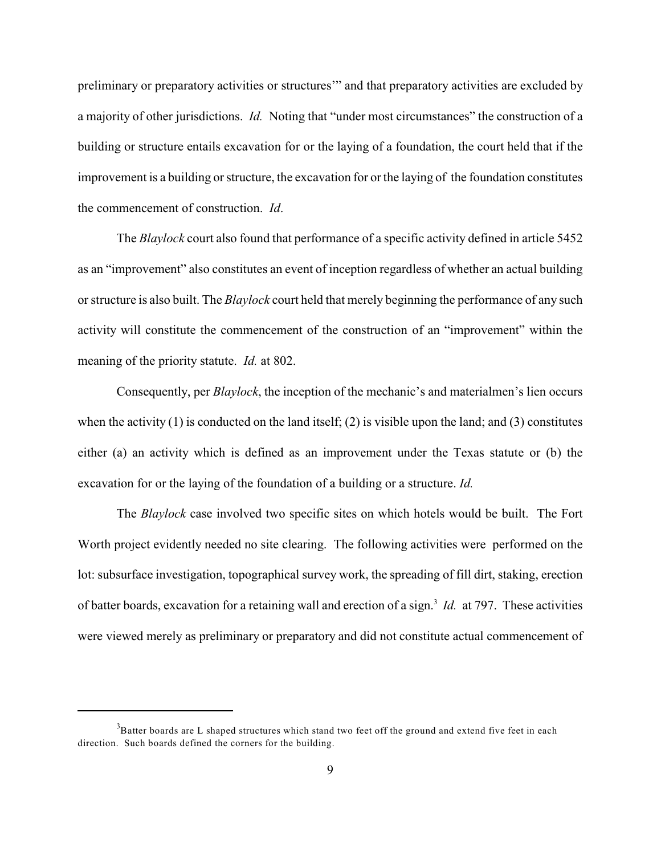preliminary or preparatory activities or structures'" and that preparatory activities are excluded by a majority of other jurisdictions. *Id.* Noting that "under most circumstances" the construction of a building or structure entails excavation for or the laying of a foundation, the court held that if the improvement is a building or structure, the excavation for or the laying of the foundation constitutes the commencement of construction. *Id*.

The *Blaylock* court also found that performance of a specific activity defined in article 5452 as an "improvement" also constitutes an event of inception regardless of whether an actual building or structure is also built. The *Blaylock* court held that merely beginning the performance of any such activity will constitute the commencement of the construction of an "improvement" within the meaning of the priority statute. *Id.* at 802.

Consequently, per *Blaylock*, the inception of the mechanic's and materialmen's lien occurs when the activity  $(1)$  is conducted on the land itself;  $(2)$  is visible upon the land; and  $(3)$  constitutes either (a) an activity which is defined as an improvement under the Texas statute or (b) the excavation for or the laying of the foundation of a building or a structure. *Id.*

The *Blaylock* case involved two specific sites on which hotels would be built. The Fort Worth project evidently needed no site clearing. The following activities were performed on the lot: subsurface investigation, topographical survey work, the spreading of fill dirt, staking, erection of batter boards, excavation for a retaining wall and erection of a sign.<sup>3</sup> Id. at 797. These activities were viewed merely as preliminary or preparatory and did not constitute actual commencement of

 $3B$ atter boards are L shaped structures which stand two feet off the ground and extend five feet in each direction. Such boards defined the corners for the building.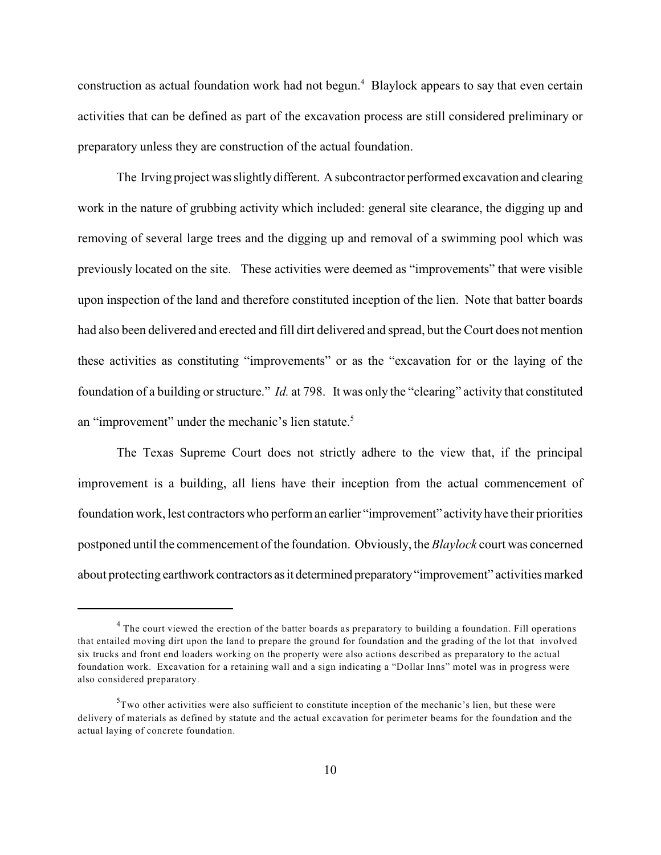construction as actual foundation work had not begun. $4$  Blaylock appears to say that even certain activities that can be defined as part of the excavation process are still considered preliminary or preparatory unless they are construction of the actual foundation.

The Irving project was slightly different. A subcontractor performed excavation and clearing work in the nature of grubbing activity which included: general site clearance, the digging up and removing of several large trees and the digging up and removal of a swimming pool which was previously located on the site. These activities were deemed as "improvements" that were visible upon inspection of the land and therefore constituted inception of the lien. Note that batter boards had also been delivered and erected and fill dirt delivered and spread, but the Court does not mention these activities as constituting "improvements" or as the "excavation for or the laying of the foundation of a building or structure." *Id.* at 798. It was only the "clearing" activity that constituted an "improvement" under the mechanic's lien statute.<sup>5</sup>

The Texas Supreme Court does not strictly adhere to the view that, if the principal improvement is a building, all liens have their inception from the actual commencement of foundation work, lest contractors who perform an earlier "improvement" activity have their priorities postponed until the commencement of the foundation. Obviously, the *Blaylock* court was concerned about protecting earthwork contractors as it determined preparatory "improvement" activities marked

 $4$  The court viewed the erection of the batter boards as preparatory to building a foundation. Fill operations that entailed moving dirt upon the land to prepare the ground for foundation and the grading of the lot that involved six trucks and front end loaders working on the property were also actions described as preparatory to the actual foundation work. Excavation for a retaining wall and a sign indicating a "Dollar Inns" motel was in progress were also considered preparatory.

 $T<sup>5</sup>T$  wo other activities were also sufficient to constitute inception of the mechanic's lien, but these were delivery of materials as defined by statute and the actual excavation for perimeter beams for the foundation and the actual laying of concrete foundation.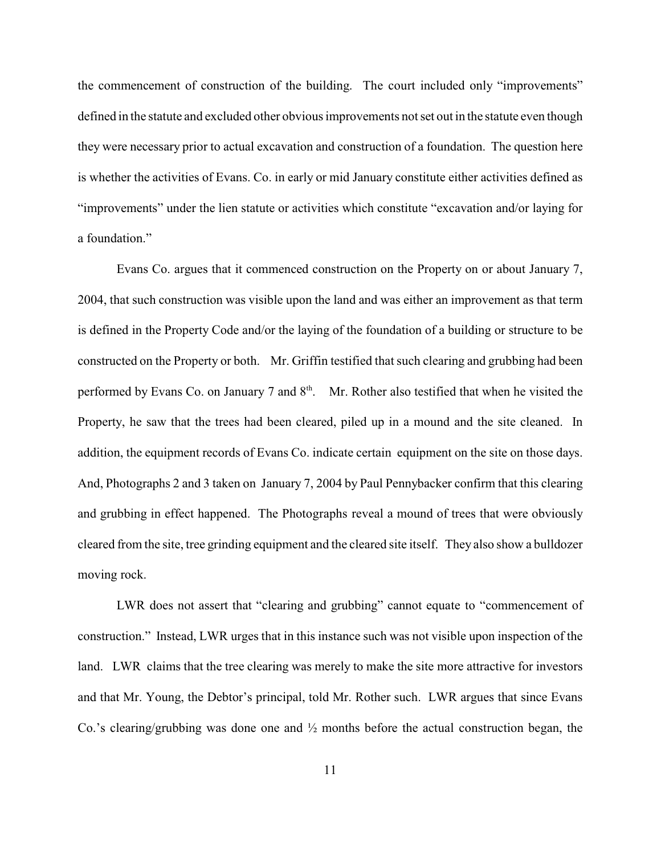the commencement of construction of the building. The court included only "improvements" defined in the statute and excluded other obvious improvements not set out in the statute even though they were necessary prior to actual excavation and construction of a foundation. The question here is whether the activities of Evans. Co. in early or mid January constitute either activities defined as "improvements" under the lien statute or activities which constitute "excavation and/or laying for a foundation."

Evans Co. argues that it commenced construction on the Property on or about January 7, 2004, that such construction was visible upon the land and was either an improvement as that term is defined in the Property Code and/or the laying of the foundation of a building or structure to be constructed on the Property or both. Mr. Griffin testified that such clearing and grubbing had been performed by Evans Co. on January 7 and  $8<sup>th</sup>$ . Mr. Rother also testified that when he visited the Property, he saw that the trees had been cleared, piled up in a mound and the site cleaned. In addition, the equipment records of Evans Co. indicate certain equipment on the site on those days. And, Photographs 2 and 3 taken on January 7, 2004 by Paul Pennybacker confirm that this clearing and grubbing in effect happened. The Photographs reveal a mound of trees that were obviously cleared from the site, tree grinding equipment and the cleared site itself. They also show a bulldozer moving rock.

LWR does not assert that "clearing and grubbing" cannot equate to "commencement of construction." Instead, LWR urges that in this instance such was not visible upon inspection of the land. LWR claims that the tree clearing was merely to make the site more attractive for investors and that Mr. Young, the Debtor's principal, told Mr. Rother such. LWR argues that since Evans Co.'s clearing/grubbing was done one and  $\frac{1}{2}$  months before the actual construction began, the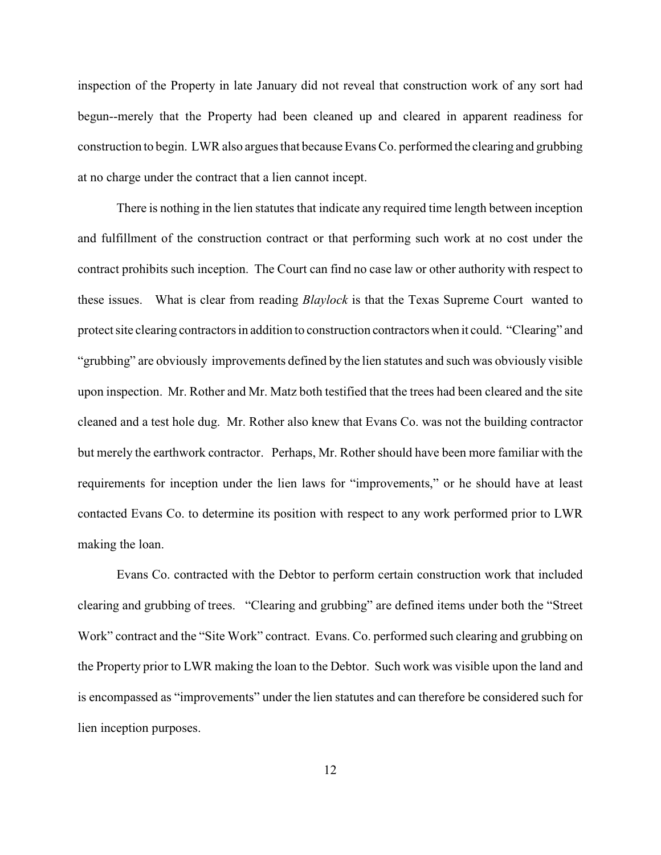inspection of the Property in late January did not reveal that construction work of any sort had begun--merely that the Property had been cleaned up and cleared in apparent readiness for construction to begin. LWR also argues that because Evans Co. performed the clearing and grubbing at no charge under the contract that a lien cannot incept.

There is nothing in the lien statutes that indicate any required time length between inception and fulfillment of the construction contract or that performing such work at no cost under the contract prohibits such inception. The Court can find no case law or other authority with respect to these issues. What is clear from reading *Blaylock* is that the Texas Supreme Court wanted to protect site clearing contractors in addition to construction contractors when it could. "Clearing" and "grubbing" are obviously improvements defined by the lien statutes and such was obviously visible upon inspection. Mr. Rother and Mr. Matz both testified that the trees had been cleared and the site cleaned and a test hole dug. Mr. Rother also knew that Evans Co. was not the building contractor but merely the earthwork contractor. Perhaps, Mr. Rother should have been more familiar with the requirements for inception under the lien laws for "improvements," or he should have at least contacted Evans Co. to determine its position with respect to any work performed prior to LWR making the loan.

Evans Co. contracted with the Debtor to perform certain construction work that included clearing and grubbing of trees. "Clearing and grubbing" are defined items under both the "Street Work" contract and the "Site Work" contract. Evans. Co. performed such clearing and grubbing on the Property prior to LWR making the loan to the Debtor. Such work was visible upon the land and is encompassed as "improvements" under the lien statutes and can therefore be considered such for lien inception purposes.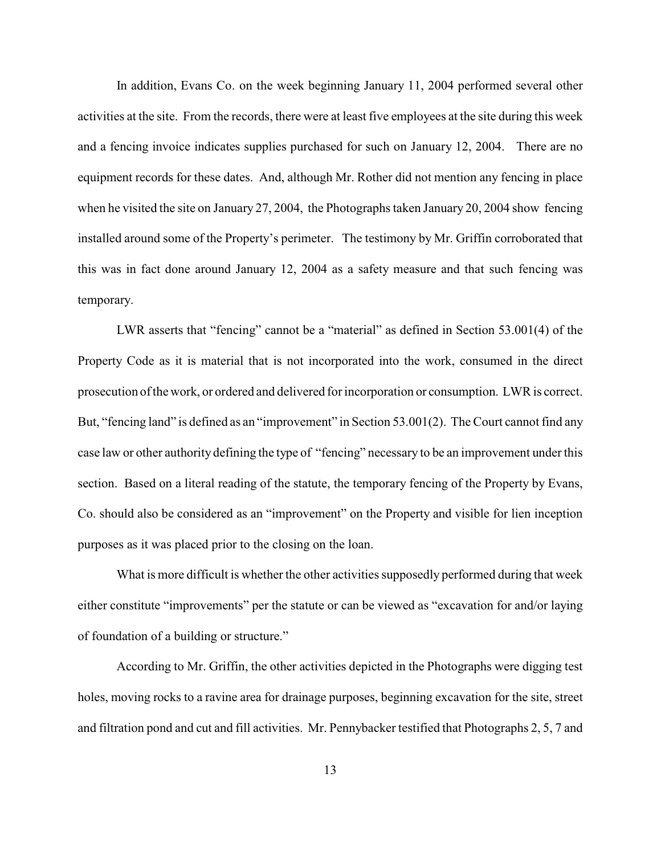In addition, Evans Co. on the week beginning January 11, 2004 performed several other activities at the site. From the records, there were at least five employees at the site during this week and a fencing invoice indicates supplies purchased for such on January 12, 2004. There are no equipment records for these dates. And, although Mr. Rother did not mention any fencing in place when he visited the site on January 27, 2004, the Photographs taken January 20, 2004 show fencing installed around some of the Property's perimeter. The testimony by Mr. Griffin corroborated that this was in fact done around January 12, 2004 as a safety measure and that such fencing was temporary.

LWR asserts that "fencing" cannot be a "material" as defined in Section 53.001(4) of the Property Code as it is material that is not incorporated into the work, consumed in the direct prosecution of the work, or ordered and delivered forincorporation or consumption. LWR is correct. But, "fencing land" is defined as an "improvement" in Section 53.001(2). The Court cannot find any case law or other authority defining the type of "fencing" necessary to be an improvement under this section. Based on a literal reading of the statute, the temporary fencing of the Property by Evans, Co. should also be considered as an "improvement" on the Property and visible for lien inception purposes as it was placed prior to the closing on the loan.

What is more difficult is whether the other activities supposedly performed during that week either constitute "improvements" per the statute or can be viewed as "excavation for and/or laying of foundation of a building or structure."

According to Mr. Griffin, the other activities depicted in the Photographs were digging test holes, moving rocks to a ravine area for drainage purposes, beginning excavation for the site, street and filtration pond and cut and fill activities. Mr. Pennybacker testified that Photographs 2, 5, 7 and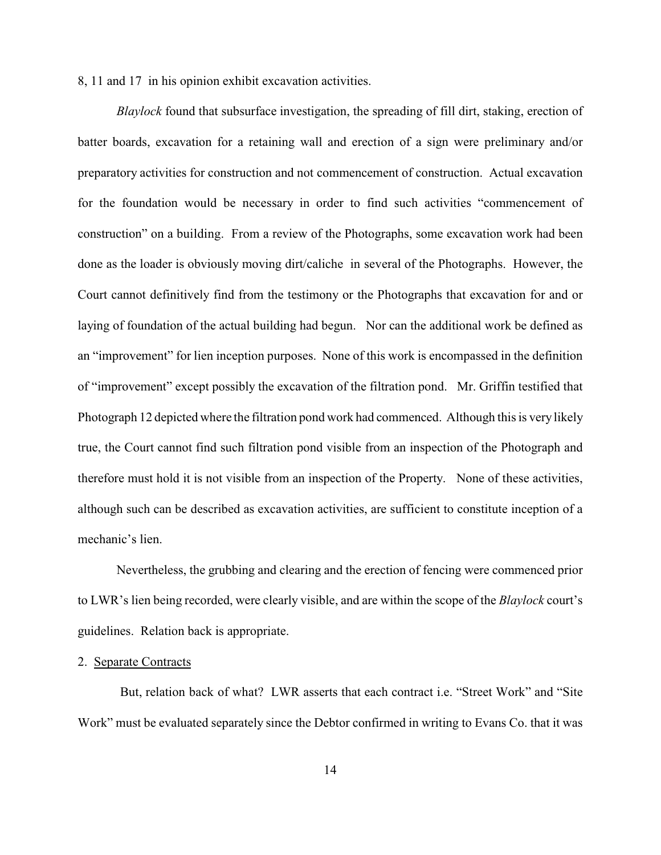8, 11 and 17 in his opinion exhibit excavation activities.

*Blaylock* found that subsurface investigation, the spreading of fill dirt, staking, erection of batter boards, excavation for a retaining wall and erection of a sign were preliminary and/or preparatory activities for construction and not commencement of construction. Actual excavation for the foundation would be necessary in order to find such activities "commencement of construction" on a building. From a review of the Photographs, some excavation work had been done as the loader is obviously moving dirt/caliche in several of the Photographs. However, the Court cannot definitively find from the testimony or the Photographs that excavation for and or laying of foundation of the actual building had begun. Nor can the additional work be defined as an "improvement" for lien inception purposes. None of this work is encompassed in the definition of "improvement" except possibly the excavation of the filtration pond. Mr. Griffin testified that Photograph 12 depicted where the filtration pond work had commenced. Although this is very likely true, the Court cannot find such filtration pond visible from an inspection of the Photograph and therefore must hold it is not visible from an inspection of the Property. None of these activities, although such can be described as excavation activities, are sufficient to constitute inception of a mechanic's lien.

Nevertheless, the grubbing and clearing and the erection of fencing were commenced prior to LWR's lien being recorded, were clearly visible, and are within the scope of the *Blaylock* court's guidelines. Relation back is appropriate.

#### 2. Separate Contracts

 But, relation back of what? LWR asserts that each contract i.e. "Street Work" and "Site Work" must be evaluated separately since the Debtor confirmed in writing to Evans Co. that it was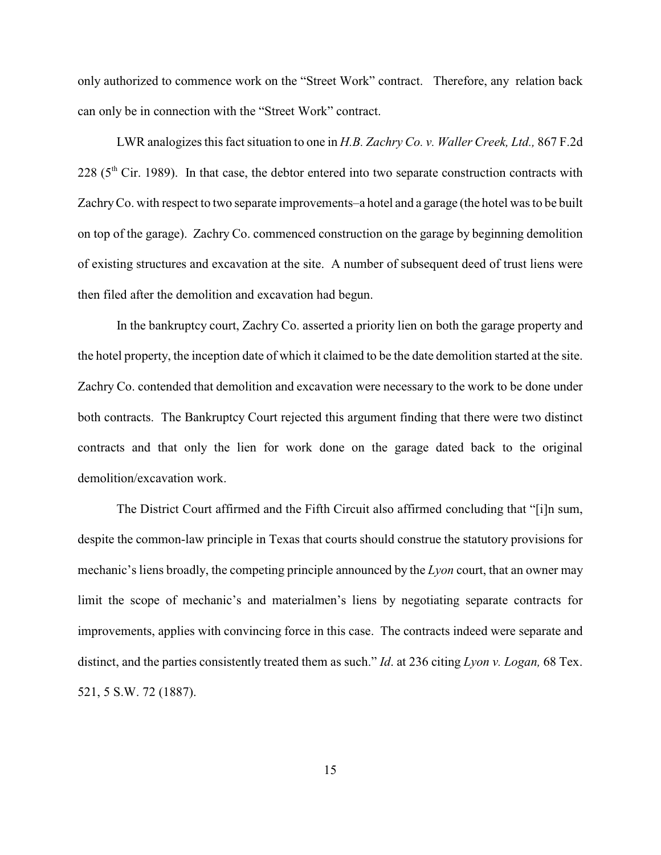only authorized to commence work on the "Street Work" contract. Therefore, any relation back can only be in connection with the "Street Work" contract.

LWR analogizes this fact situation to one in *H.B. Zachry Co. v. Waller Creek, Ltd.,* 867 F.2d  $228$  ( $5<sup>th</sup>$  Cir. 1989). In that case, the debtor entered into two separate construction contracts with Zachry Co. with respect to two separate improvements–a hotel and a garage (the hotel was to be built on top of the garage). Zachry Co. commenced construction on the garage by beginning demolition of existing structures and excavation at the site. A number of subsequent deed of trust liens were then filed after the demolition and excavation had begun.

In the bankruptcy court, Zachry Co. asserted a priority lien on both the garage property and the hotel property, the inception date of which it claimed to be the date demolition started at the site. Zachry Co. contended that demolition and excavation were necessary to the work to be done under both contracts. The Bankruptcy Court rejected this argument finding that there were two distinct contracts and that only the lien for work done on the garage dated back to the original demolition/excavation work.

The District Court affirmed and the Fifth Circuit also affirmed concluding that "[i]n sum, despite the common-law principle in Texas that courts should construe the statutory provisions for mechanic's liens broadly, the competing principle announced by the *Lyon* court, that an owner may limit the scope of mechanic's and materialmen's liens by negotiating separate contracts for improvements, applies with convincing force in this case. The contracts indeed were separate and distinct, and the parties consistently treated them as such." *Id*. at 236 citing *Lyon v. Logan,* 68 Tex. 521, 5 S.W. 72 (1887).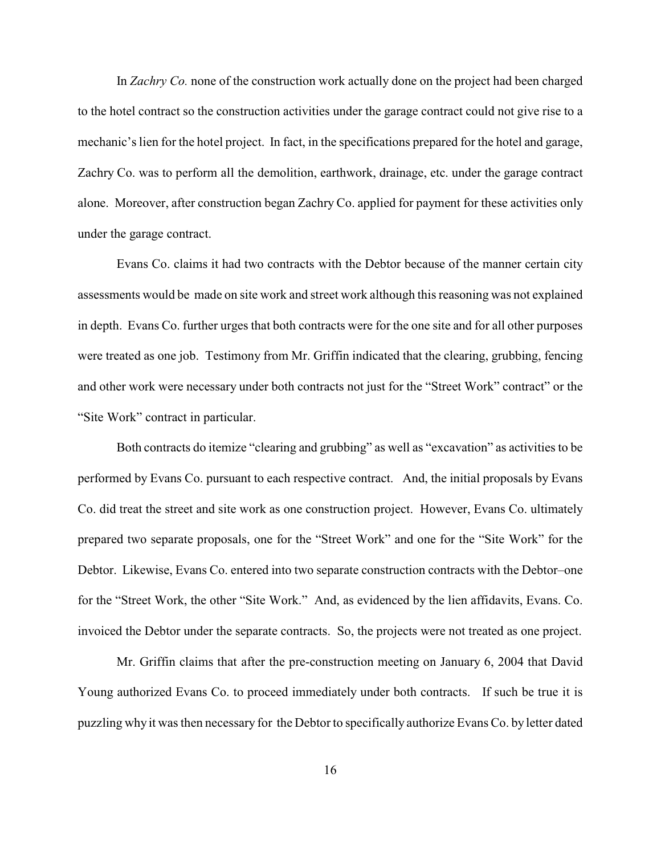In *Zachry Co.* none of the construction work actually done on the project had been charged to the hotel contract so the construction activities under the garage contract could not give rise to a mechanic's lien for the hotel project. In fact, in the specifications prepared for the hotel and garage, Zachry Co. was to perform all the demolition, earthwork, drainage, etc. under the garage contract alone. Moreover, after construction began Zachry Co. applied for payment for these activities only under the garage contract.

Evans Co. claims it had two contracts with the Debtor because of the manner certain city assessments would be made on site work and street work although this reasoning was not explained in depth. Evans Co. further urges that both contracts were for the one site and for all other purposes were treated as one job. Testimony from Mr. Griffin indicated that the clearing, grubbing, fencing and other work were necessary under both contracts not just for the "Street Work" contract" or the "Site Work" contract in particular.

Both contracts do itemize "clearing and grubbing" as well as "excavation" as activities to be performed by Evans Co. pursuant to each respective contract. And, the initial proposals by Evans Co. did treat the street and site work as one construction project. However, Evans Co. ultimately prepared two separate proposals, one for the "Street Work" and one for the "Site Work" for the Debtor. Likewise, Evans Co. entered into two separate construction contracts with the Debtor–one for the "Street Work, the other "Site Work." And, as evidenced by the lien affidavits, Evans. Co. invoiced the Debtor under the separate contracts. So, the projects were not treated as one project.

Mr. Griffin claims that after the pre-construction meeting on January 6, 2004 that David Young authorized Evans Co. to proceed immediately under both contracts. If such be true it is puzzling why it was then necessary for the Debtor to specifically authorize Evans Co. by letter dated